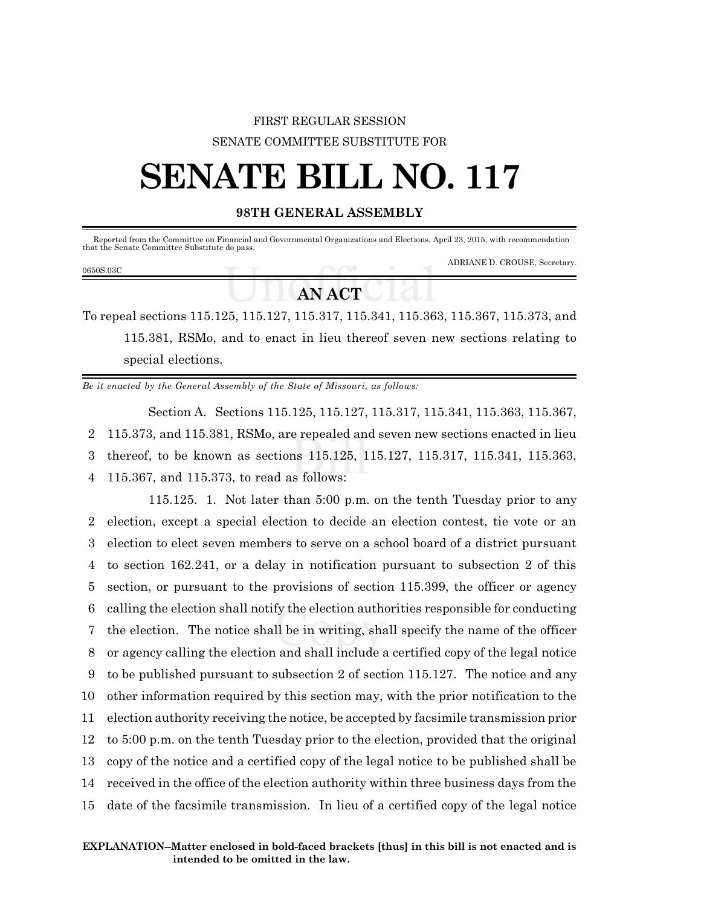## FIRST REGULAR SESSION SENATE COMMITTEE SUBSTITUTE FOR

## **SENATE BILL NO. 117**

## **98TH GENERAL ASSEMBLY**

| Reported from the Committee on Financial and Governmental Organizations and Elections, April 23, 2015, with recommendation<br>that the Senate Committee Substitute do pass. |  |  |                               |
|-----------------------------------------------------------------------------------------------------------------------------------------------------------------------------|--|--|-------------------------------|
| 0650S.03C                                                                                                                                                                   |  |  | ADRIANE D. CROUSE, Secretary. |
|                                                                                                                                                                             |  |  |                               |

## *AN* **<b>ACT**

To repeal sections 115.125, 115.127, 115.317, 115.341, 115.363, 115.367, 115.373, and 115.381, RSMo, and to enact in lieu thereof seven new sections relating to special elections.

*Be it enacted by the General Assembly of the State of Missouri, as follows:*

Section A. Sections 115.125, 115.127, 115.317, 115.341, 115.363, 115.367, 115.373, and 115.381, RSMo, are repealed and seven new sections enacted in lieu thereof, to be known as sections 115.125, 115.127, 115.317, 115.341, 115.363, 115.367, and 115.373, to read as follows:

115.125. 1. Not later than 5:00 p.m. on the tenth Tuesday prior to any election, except a special election to decide an election contest, tie vote or an election to elect seven members to serve on a school board of a district pursuant to section 162.241, or a delay in notification pursuant to subsection 2 of this section, or pursuant to the provisions of section 115.399, the officer or agency calling the election shall notify the election authorities responsible for conducting the election. The notice shall be in writing, shall specify the name of the officer or agency calling the election and shall include a certified copy of the legal notice to be published pursuant to subsection 2 of section 115.127. The notice and any other information required by this section may, with the prior notification to the election authority receiving the notice, be accepted by facsimile transmission prior to 5:00 p.m. on the tenth Tuesday prior to the election, provided that the original copy of the notice and a certified copy of the legal notice to be published shall be received in the office of the election authority within three business days from the date of the facsimile transmission. In lieu of a certified copy of the legal notice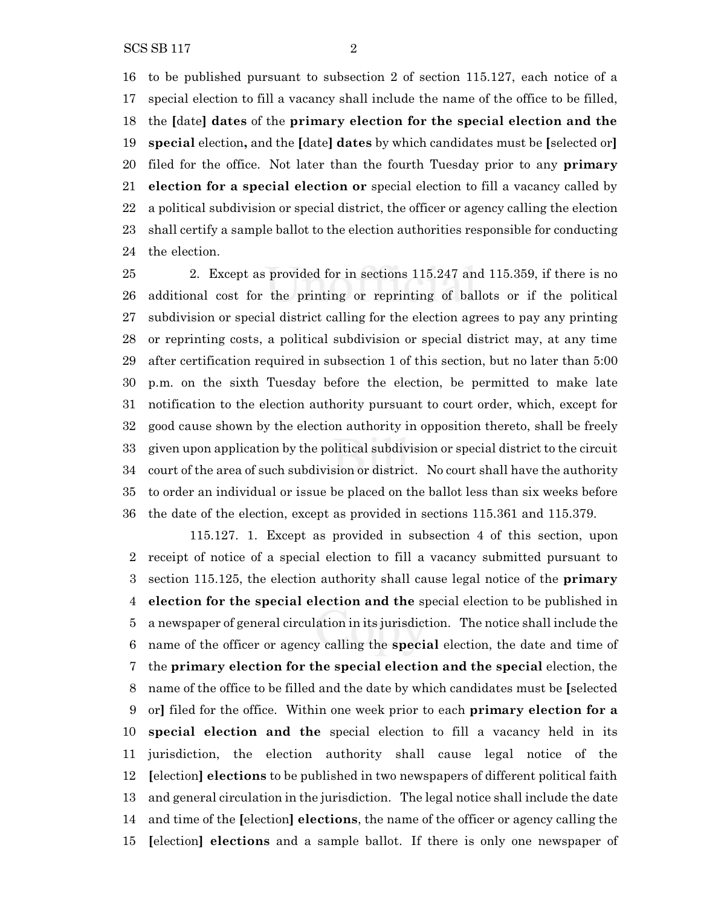to be published pursuant to subsection 2 of section 115.127, each notice of a special election to fill a vacancy shall include the name of the office to be filled, the **[**date**] dates** of the **primary election for the special election and the special** election**,** and the **[**date**] dates** by which candidates must be **[**selected or**]** filed for the office. Not later than the fourth Tuesday prior to any **primary election for a special election or** special election to fill a vacancy called by a political subdivision or special district, the officer or agency calling the election shall certify a sample ballot to the election authorities responsible for conducting the election.

 2. Except as provided for in sections 115.247 and 115.359, if there is no additional cost for the printing or reprinting of ballots or if the political subdivision or special district calling for the election agrees to pay any printing or reprinting costs, a political subdivision or special district may, at any time after certification required in subsection 1 of this section, but no later than 5:00 p.m. on the sixth Tuesday before the election, be permitted to make late notification to the election authority pursuant to court order, which, except for good cause shown by the election authority in opposition thereto, shall be freely given upon application by the political subdivision or special district to the circuit court of the area of such subdivision or district. No court shall have the authority to order an individual or issue be placed on the ballot less than six weeks before the date of the election, except as provided in sections 115.361 and 115.379.

115.127. 1. Except as provided in subsection 4 of this section, upon receipt of notice of a special election to fill a vacancy submitted pursuant to section 115.125, the election authority shall cause legal notice of the **primary election for the special election and the** special election to be published in a newspaper of general circulation in its jurisdiction. The notice shall include the name of the officer or agency calling the **special** election, the date and time of the **primary election for the special election and the special** election, the name of the office to be filled and the date by which candidates must be **[**selected or**]** filed for the office. Within one week prior to each **primary election for a special election and the** special election to fill a vacancy held in its jurisdiction, the election authority shall cause legal notice of the **[**election**] elections** to be published in two newspapers of different political faith and general circulation in the jurisdiction. The legal notice shall include the date and time of the **[**election**] elections**, the name of the officer or agency calling the **[**election**] elections** and a sample ballot. If there is only one newspaper of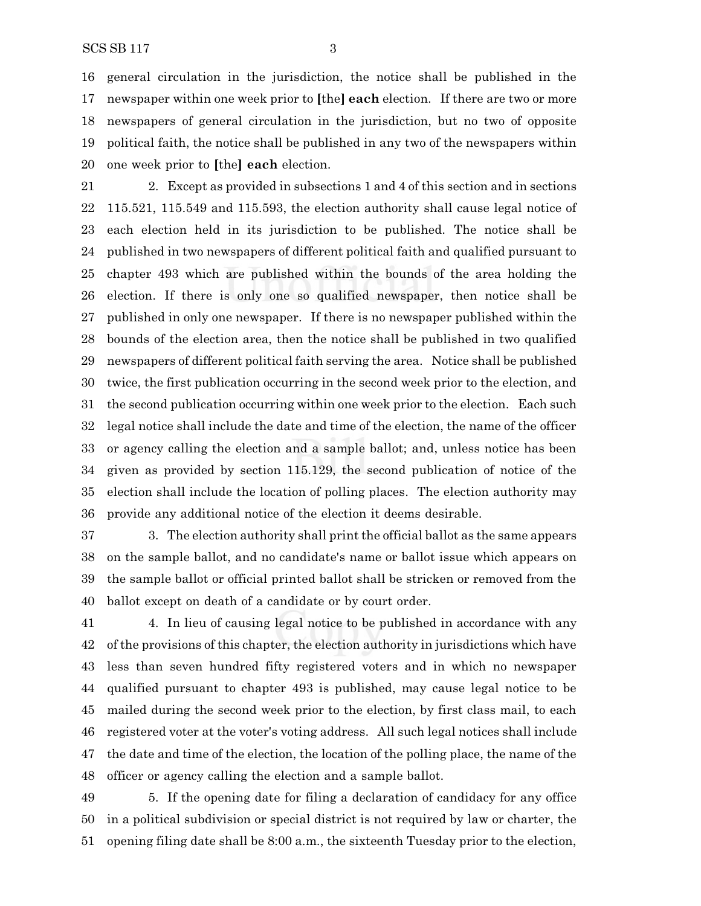general circulation in the jurisdiction, the notice shall be published in the newspaper within one week prior to **[**the**] each** election. If there are two or more newspapers of general circulation in the jurisdiction, but no two of opposite political faith, the notice shall be published in any two of the newspapers within one week prior to **[**the**] each** election.

 2. Except as provided in subsections 1 and 4 of this section and in sections 115.521, 115.549 and 115.593, the election authority shall cause legal notice of each election held in its jurisdiction to be published. The notice shall be published in two newspapers of different political faith and qualified pursuant to chapter 493 which are published within the bounds of the area holding the election. If there is only one so qualified newspaper, then notice shall be published in only one newspaper. If there is no newspaper published within the bounds of the election area, then the notice shall be published in two qualified newspapers of different political faith serving the area. Notice shall be published twice, the first publication occurring in the second week prior to the election, and the second publication occurring within one week prior to the election. Each such legal notice shall include the date and time of the election, the name of the officer or agency calling the election and a sample ballot; and, unless notice has been given as provided by section 115.129, the second publication of notice of the election shall include the location of polling places. The election authority may provide any additional notice of the election it deems desirable.

 3. The election authority shall print the official ballot as the same appears on the sample ballot, and no candidate's name or ballot issue which appears on the sample ballot or official printed ballot shall be stricken or removed from the ballot except on death of a candidate or by court order.

 4. In lieu of causing legal notice to be published in accordance with any of the provisions of this chapter, the election authority in jurisdictions which have less than seven hundred fifty registered voters and in which no newspaper qualified pursuant to chapter 493 is published, may cause legal notice to be mailed during the second week prior to the election, by first class mail, to each registered voter at the voter's voting address. All such legal notices shall include the date and time of the election, the location of the polling place, the name of the officer or agency calling the election and a sample ballot.

 5. If the opening date for filing a declaration of candidacy for any office in a political subdivision or special district is not required by law or charter, the opening filing date shall be 8:00 a.m., the sixteenth Tuesday prior to the election,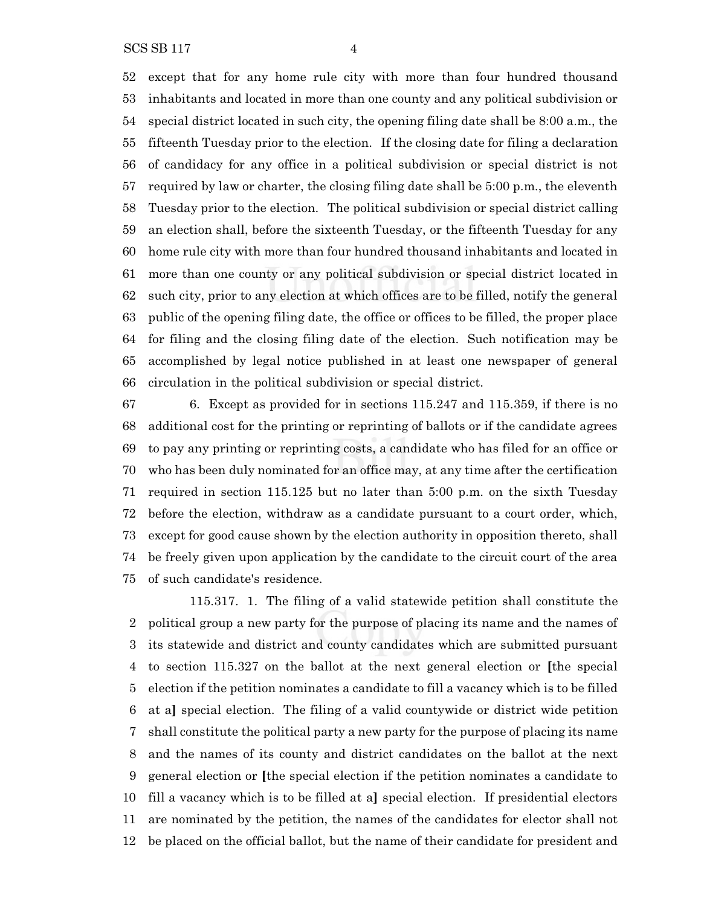SCS SB 117 4

 except that for any home rule city with more than four hundred thousand inhabitants and located in more than one county and any political subdivision or special district located in such city, the opening filing date shall be 8:00 a.m., the fifteenth Tuesday prior to the election. If the closing date for filing a declaration of candidacy for any office in a political subdivision or special district is not required by law or charter, the closing filing date shall be 5:00 p.m., the eleventh Tuesday prior to the election. The political subdivision or special district calling an election shall, before the sixteenth Tuesday, or the fifteenth Tuesday for any home rule city with more than four hundred thousand inhabitants and located in more than one county or any political subdivision or special district located in such city, prior to any election at which offices are to be filled, notify the general public of the opening filing date, the office or offices to be filled, the proper place for filing and the closing filing date of the election. Such notification may be accomplished by legal notice published in at least one newspaper of general circulation in the political subdivision or special district.

 6. Except as provided for in sections 115.247 and 115.359, if there is no additional cost for the printing or reprinting of ballots or if the candidate agrees to pay any printing or reprinting costs, a candidate who has filed for an office or who has been duly nominated for an office may, at any time after the certification required in section 115.125 but no later than 5:00 p.m. on the sixth Tuesday before the election, withdraw as a candidate pursuant to a court order, which, except for good cause shown by the election authority in opposition thereto, shall be freely given upon application by the candidate to the circuit court of the area of such candidate's residence.

115.317. 1. The filing of a valid statewide petition shall constitute the political group a new party for the purpose of placing its name and the names of its statewide and district and county candidates which are submitted pursuant to section 115.327 on the ballot at the next general election or **[**the special election if the petition nominates a candidate to fill a vacancy which is to be filled at a**]** special election. The filing of a valid countywide or district wide petition shall constitute the political party a new party for the purpose of placing its name and the names of its county and district candidates on the ballot at the next general election or **[**the special election if the petition nominates a candidate to fill a vacancy which is to be filled at a**]** special election. If presidential electors are nominated by the petition, the names of the candidates for elector shall not be placed on the official ballot, but the name of their candidate for president and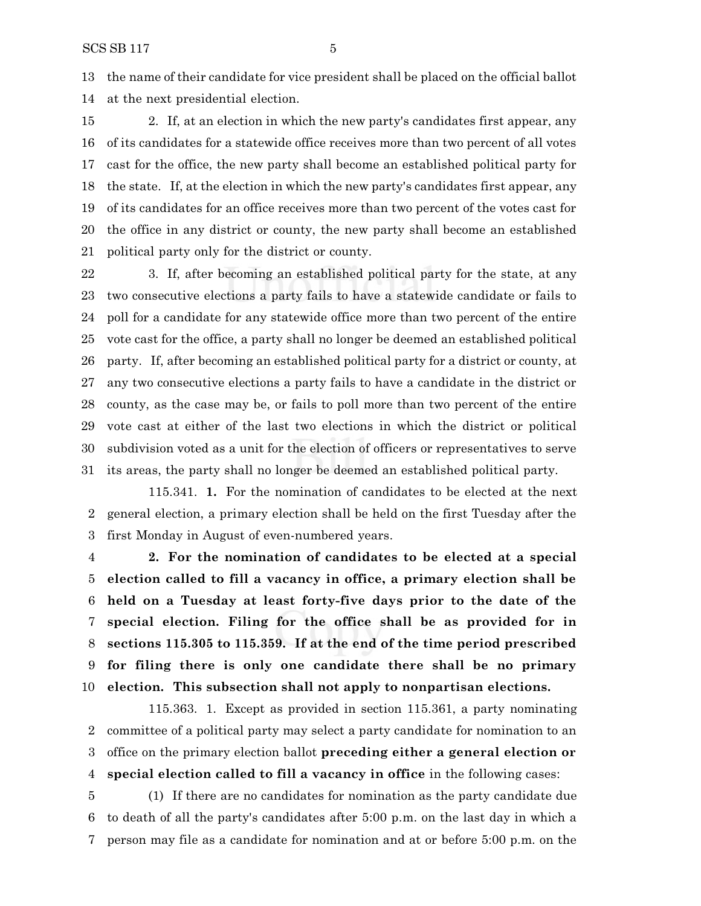the name of their candidate for vice president shall be placed on the official ballot at the next presidential election.

 2. If, at an election in which the new party's candidates first appear, any of its candidates for a statewide office receives more than two percent of all votes cast for the office, the new party shall become an established political party for the state. If, at the election in which the new party's candidates first appear, any of its candidates for an office receives more than two percent of the votes cast for the office in any district or county, the new party shall become an established political party only for the district or county.

 3. If, after becoming an established political party for the state, at any two consecutive elections a party fails to have a statewide candidate or fails to poll for a candidate for any statewide office more than two percent of the entire vote cast for the office, a party shall no longer be deemed an established political party. If, after becoming an established political party for a district or county, at any two consecutive elections a party fails to have a candidate in the district or county, as the case may be, or fails to poll more than two percent of the entire vote cast at either of the last two elections in which the district or political subdivision voted as a unit for the election of officers or representatives to serve its areas, the party shall no longer be deemed an established political party.

115.341. **1.** For the nomination of candidates to be elected at the next general election, a primary election shall be held on the first Tuesday after the first Monday in August of even-numbered years.

 **2. For the nomination of candidates to be elected at a special election called to fill a vacancy in office, a primary election shall be held on a Tuesday at least forty-five days prior to the date of the special election. Filing for the office shall be as provided for in sections 115.305 to 115.359. If at the end of the time period prescribed for filing there is only one candidate there shall be no primary election. This subsection shall not apply to nonpartisan elections.**

115.363. 1. Except as provided in section 115.361, a party nominating committee of a political party may select a party candidate for nomination to an office on the primary election ballot **preceding either a general election or special election called to fill a vacancy in office** in the following cases:

 (1) If there are no candidates for nomination as the party candidate due to death of all the party's candidates after 5:00 p.m. on the last day in which a person may file as a candidate for nomination and at or before 5:00 p.m. on the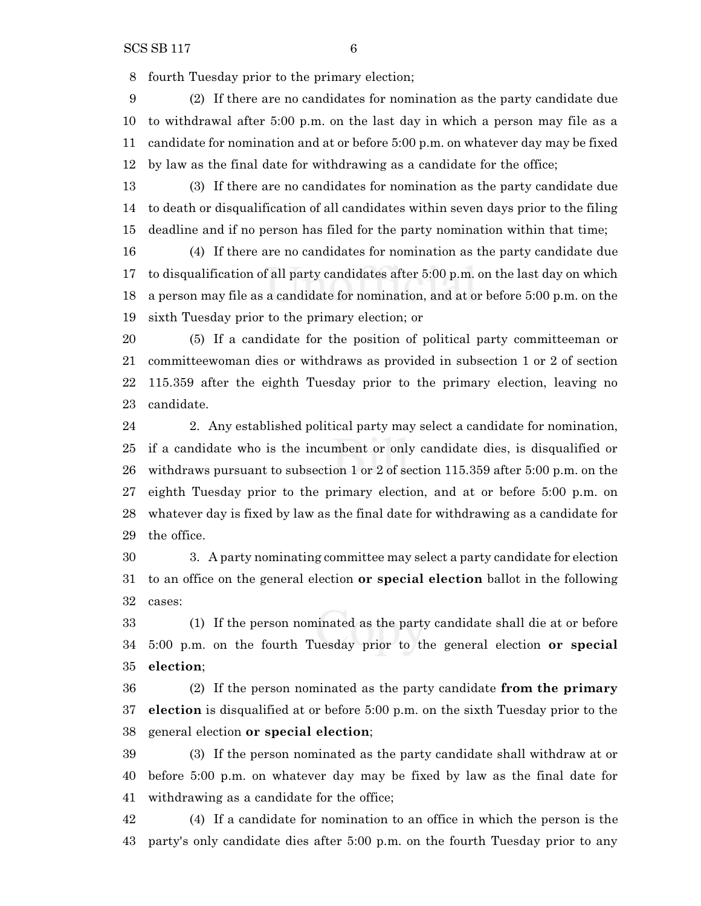fourth Tuesday prior to the primary election;

 (2) If there are no candidates for nomination as the party candidate due to withdrawal after 5:00 p.m. on the last day in which a person may file as a candidate for nomination and at or before 5:00 p.m. on whatever day may be fixed by law as the final date for withdrawing as a candidate for the office;

 (3) If there are no candidates for nomination as the party candidate due to death or disqualification of all candidates within seven days prior to the filing deadline and if no person has filed for the party nomination within that time;

 (4) If there are no candidates for nomination as the party candidate due to disqualification of all party candidates after 5:00 p.m. on the last day on which a person may file as a candidate for nomination, and at or before 5:00 p.m. on the sixth Tuesday prior to the primary election; or

 (5) If a candidate for the position of political party committeeman or committeewoman dies or withdraws as provided in subsection 1 or 2 of section 115.359 after the eighth Tuesday prior to the primary election, leaving no candidate.

 2. Any established political party may select a candidate for nomination, if a candidate who is the incumbent or only candidate dies, is disqualified or withdraws pursuant to subsection 1 or 2 of section 115.359 after 5:00 p.m. on the eighth Tuesday prior to the primary election, and at or before 5:00 p.m. on whatever day is fixed by law as the final date for withdrawing as a candidate for the office.

 3. A party nominating committee may select a party candidate for election to an office on the general election **or special election** ballot in the following cases:

 (1) If the person nominated as the party candidate shall die at or before 5:00 p.m. on the fourth Tuesday prior to the general election **or special election**;

 (2) If the person nominated as the party candidate **from the primary election** is disqualified at or before 5:00 p.m. on the sixth Tuesday prior to the general election **or special election**;

 (3) If the person nominated as the party candidate shall withdraw at or before 5:00 p.m. on whatever day may be fixed by law as the final date for withdrawing as a candidate for the office;

 (4) If a candidate for nomination to an office in which the person is the party's only candidate dies after 5:00 p.m. on the fourth Tuesday prior to any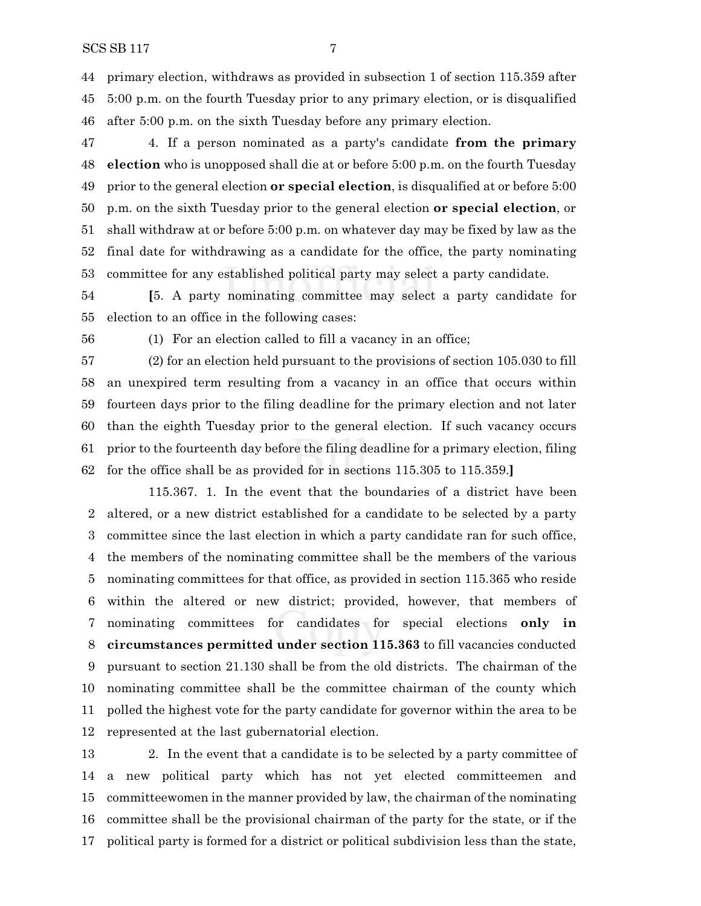primary election, withdraws as provided in subsection 1 of section 115.359 after 5:00 p.m. on the fourth Tuesday prior to any primary election, or is disqualified after 5:00 p.m. on the sixth Tuesday before any primary election.

 4. If a person nominated as a party's candidate **from the primary election** who is unopposed shall die at or before 5:00 p.m. on the fourth Tuesday prior to the general election **or special election**, is disqualified at or before 5:00 p.m. on the sixth Tuesday prior to the general election **or special election**, or shall withdraw at or before 5:00 p.m. on whatever day may be fixed by law as the final date for withdrawing as a candidate for the office, the party nominating committee for any established political party may select a party candidate.

 **[**5. A party nominating committee may select a party candidate for election to an office in the following cases:

(1) For an election called to fill a vacancy in an office;

 (2) for an election held pursuant to the provisions of section 105.030 to fill an unexpired term resulting from a vacancy in an office that occurs within fourteen days prior to the filing deadline for the primary election and not later than the eighth Tuesday prior to the general election. If such vacancy occurs prior to the fourteenth day before the filing deadline for a primary election, filing for the office shall be as provided for in sections 115.305 to 115.359.**]**

115.367. 1. In the event that the boundaries of a district have been altered, or a new district established for a candidate to be selected by a party committee since the last election in which a party candidate ran for such office, the members of the nominating committee shall be the members of the various nominating committees for that office, as provided in section 115.365 who reside within the altered or new district; provided, however, that members of nominating committees for candidates for special elections **only in circumstances permitted under section 115.363** to fill vacancies conducted pursuant to section 21.130 shall be from the old districts. The chairman of the nominating committee shall be the committee chairman of the county which polled the highest vote for the party candidate for governor within the area to be represented at the last gubernatorial election.

 2. In the event that a candidate is to be selected by a party committee of a new political party which has not yet elected committeemen and committeewomen in the manner provided by law, the chairman of the nominating committee shall be the provisional chairman of the party for the state, or if the political party is formed for a district or political subdivision less than the state,